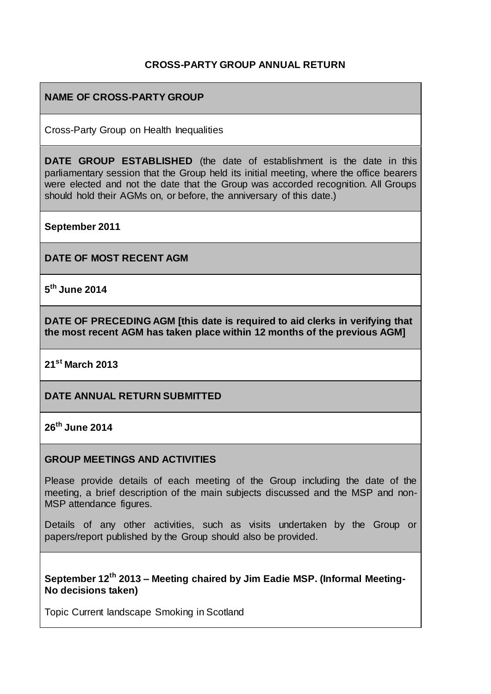## **CROSS-PARTY GROUP ANNUAL RETURN**

## **NAME OF CROSS-PARTY GROUP**

Cross-Party Group on Health Inequalities

**DATE GROUP ESTABLISHED** (the date of establishment is the date in this parliamentary session that the Group held its initial meeting, where the office bearers were elected and not the date that the Group was accorded recognition. All Groups should hold their AGMs on, or before, the anniversary of this date.)

**September 2011**

**DATE OF MOST RECENT AGM**

**5 th June 2014**

**DATE OF PRECEDING AGM [this date is required to aid clerks in verifying that the most recent AGM has taken place within 12 months of the previous AGM]**

**21st March 2013**

**DATE ANNUAL RETURN SUBMITTED**

**26th June 2014**

#### **GROUP MEETINGS AND ACTIVITIES**

Please provide details of each meeting of the Group including the date of the meeting, a brief description of the main subjects discussed and the MSP and non-MSP attendance figures.

Details of any other activities, such as visits undertaken by the Group or papers/report published by the Group should also be provided.

#### **September 12th 2013 – Meeting chaired by Jim Eadie MSP. (Informal Meeting-No decisions taken)**

Topic Current landscape Smoking in Scotland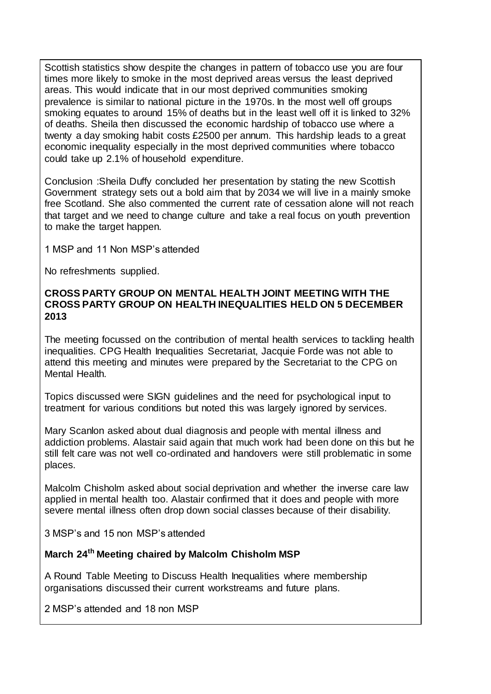Scottish statistics show despite the changes in pattern of tobacco use you are four times more likely to smoke in the most deprived areas versus the least deprived areas. This would indicate that in our most deprived communities smoking prevalence is similar to national picture in the 1970s. In the most well off groups smoking equates to around 15% of deaths but in the least well off it is linked to 32% of deaths. Sheila then discussed the economic hardship of tobacco use where a twenty a day smoking habit costs £2500 per annum. This hardship leads to a great economic inequality especially in the most deprived communities where tobacco could take up 2.1% of household expenditure.

Conclusion :Sheila Duffy concluded her presentation by stating the new Scottish Government strategy sets out a bold aim that by 2034 we will live in a mainly smoke free Scotland. She also commented the current rate of cessation alone will not reach that target and we need to change culture and take a real focus on youth prevention to make the target happen.

1 MSP and 11 Non MSP's attended

No refreshments supplied.

### **CROSS PARTY GROUP ON MENTAL HEALTH JOINT MEETING WITH THE CROSS PARTY GROUP ON HEALTH INEQUALITIES HELD ON 5 DECEMBER 2013**

The meeting focussed on the contribution of mental health services to tackling health inequalities. CPG Health Inequalities Secretariat, Jacquie Forde was not able to attend this meeting and minutes were prepared by the Secretariat to the CPG on Mental Health.

Topics discussed were SIGN guidelines and the need for psychological input to treatment for various conditions but noted this was largely ignored by services.

Mary Scanlon asked about dual diagnosis and people with mental illness and addiction problems. Alastair said again that much work had been done on this but he still felt care was not well co-ordinated and handovers were still problematic in some places.

Malcolm Chisholm asked about social deprivation and whether the inverse care law applied in mental health too. Alastair confirmed that it does and people with more severe mental illness often drop down social classes because of their disability.

3 MSP's and 15 non MSP's attended

## **March 24th Meeting chaired by Malcolm Chisholm MSP**

A Round Table Meeting to Discuss Health Inequalities where membership organisations discussed their current workstreams and future plans.

2 MSP's attended and 18 non MSP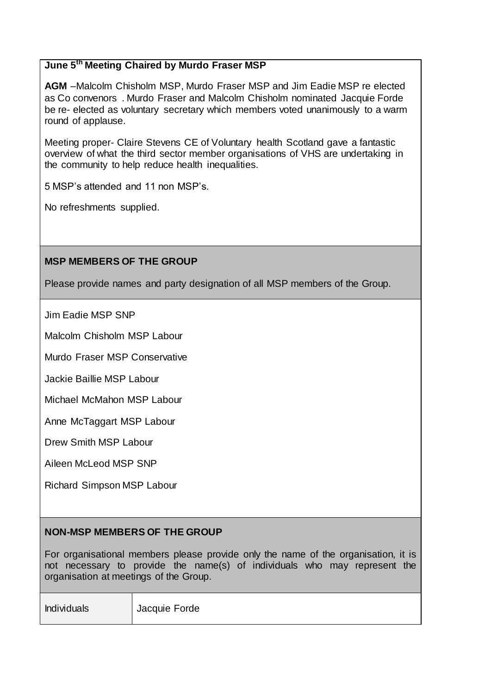## **June 5th Meeting Chaired by Murdo Fraser MSP**

**AGM** –Malcolm Chisholm MSP, Murdo Fraser MSP and Jim Eadie MSP re elected as Co convenors . Murdo Fraser and Malcolm Chisholm nominated Jacquie Forde be re- elected as voluntary secretary which members voted unanimously to a warm round of applause.

Meeting proper- Claire Stevens CE of Voluntary health Scotland gave a fantastic overview of what the third sector member organisations of VHS are undertaking in the community to help reduce health inequalities.

5 MSP's attended and 11 non MSP's.

No refreshments supplied.

#### **MSP MEMBERS OF THE GROUP**

Please provide names and party designation of all MSP members of the Group.

Jim Eadie MSP SNP

Malcolm Chisholm MSP Labour

Murdo Fraser MSP Conservative

Jackie Baillie MSP Labour

Michael McMahon MSP Labour

Anne McTaggart MSP Labour

Drew Smith MSP Labour

Aileen McLeod MSP SNP

Richard Simpson MSP Labour

## **NON-MSP MEMBERS OF THE GROUP**

For organisational members please provide only the name of the organisation, it is not necessary to provide the name(s) of individuals who may represent the organisation at meetings of the Group.

Individuals Jacquie Forde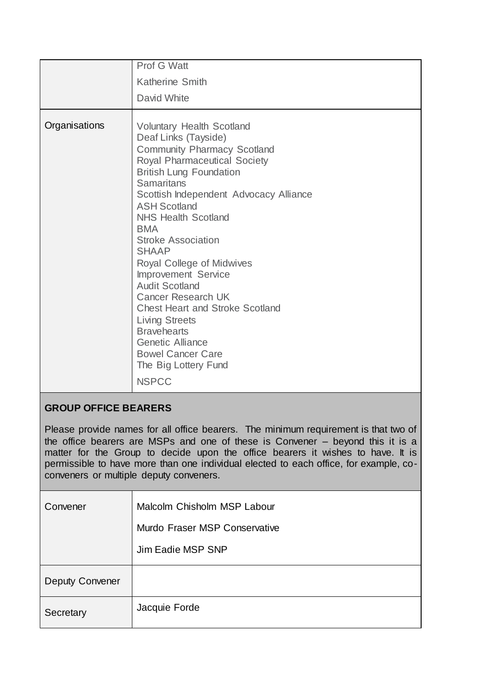|               | Prof G Watt                                                                                                                                                                                                                                                                                                                                                                                                                                                                                                                                                                                                                                              |
|---------------|----------------------------------------------------------------------------------------------------------------------------------------------------------------------------------------------------------------------------------------------------------------------------------------------------------------------------------------------------------------------------------------------------------------------------------------------------------------------------------------------------------------------------------------------------------------------------------------------------------------------------------------------------------|
|               | Katherine Smith                                                                                                                                                                                                                                                                                                                                                                                                                                                                                                                                                                                                                                          |
|               | David White                                                                                                                                                                                                                                                                                                                                                                                                                                                                                                                                                                                                                                              |
| Organisations | <b>Voluntary Health Scotland</b><br>Deaf Links (Tayside)<br><b>Community Pharmacy Scotland</b><br>Royal Pharmaceutical Society<br><b>British Lung Foundation</b><br><b>Samaritans</b><br>Scottish Independent Advocacy Alliance<br><b>ASH Scotland</b><br><b>NHS Health Scotland</b><br><b>BMA</b><br><b>Stroke Association</b><br><b>SHAAP</b><br>Royal College of Midwives<br><b>Improvement Service</b><br><b>Audit Scotland</b><br><b>Cancer Research UK</b><br><b>Chest Heart and Stroke Scotland</b><br><b>Living Streets</b><br><b>Bravehearts</b><br><b>Genetic Alliance</b><br><b>Bowel Cancer Care</b><br>The Big Lottery Fund<br><b>NSPCC</b> |

# **GROUP OFFICE BEARERS**

Please provide names for all office bearers. The minimum requirement is that two of the office bearers are MSPs and one of these is Convener – beyond this it is a matter for the Group to decide upon the office bearers it wishes to have. It is permissible to have more than one individual elected to each office, for example, coconveners or multiple deputy conveners.

| Convener               | Malcolm Chisholm MSP Labour   |
|------------------------|-------------------------------|
|                        | Murdo Fraser MSP Conservative |
|                        | Jim Eadie MSP SNP             |
| <b>Deputy Convener</b> |                               |
| Secretary              | Jacquie Forde                 |